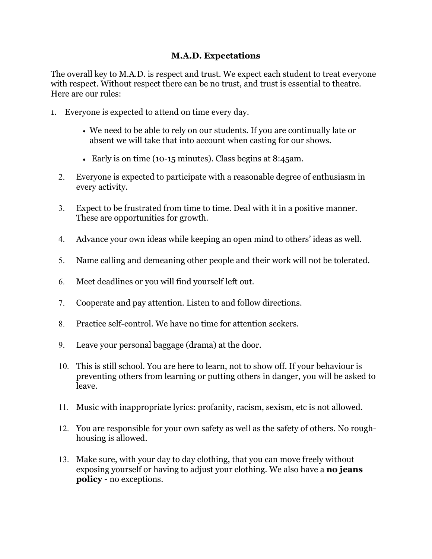## **M.A.D. Expectations**

The overall key to M.A.D. is respect and trust. We expect each student to treat everyone with respect. Without respect there can be no trust, and trust is essential to theatre. Here are our rules:

- 1. Everyone is expected to attend on time every day.
	- We need to be able to rely on our students. If you are continually late or absent we will take that into account when casting for our shows.
	- Early is on time (10-15 minutes). Class begins at 8:45am.
	- 2. Everyone is expected to participate with a reasonable degree of enthusiasm in every activity.
	- 3. Expect to be frustrated from time to time. Deal with it in a positive manner. These are opportunities for growth.
	- 4. Advance your own ideas while keeping an open mind to others' ideas as well.
	- 5. Name calling and demeaning other people and their work will not be tolerated.
	- 6. Meet deadlines or you will find yourself left out.
	- 7. Cooperate and pay attention. Listen to and follow directions.
	- 8. Practice self-control. We have no time for attention seekers.
	- 9. Leave your personal baggage (drama) at the door.
	- 10. This is still school. You are here to learn, not to show off. If your behaviour is preventing others from learning or putting others in danger, you will be asked to leave.
	- 11. Music with inappropriate lyrics: profanity, racism, sexism, etc is not allowed.
	- 12. You are responsible for your own safety as well as the safety of others. No roughhousing is allowed.
	- 13. Make sure, with your day to day clothing, that you can move freely without exposing yourself or having to adjust your clothing. We also have a **no jeans policy** - no exceptions.